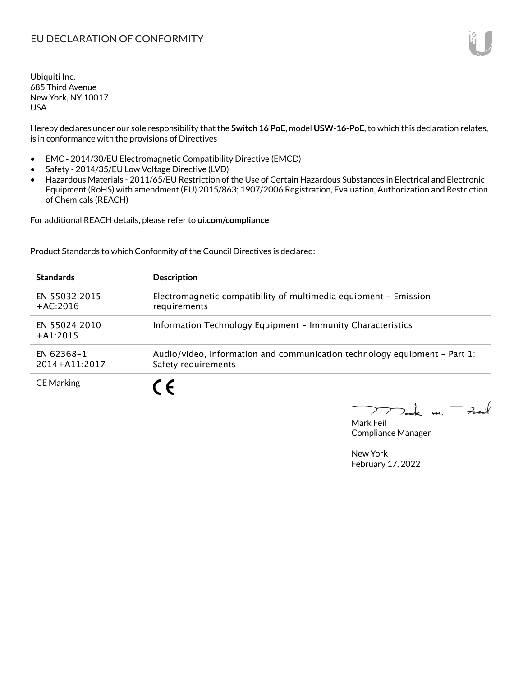Hereby declares under our sole responsibility that the **Switch 16 PoE**, model **USW-16-PoE**, to which this declaration relates, is in conformance with the provisions of Directives

- EMC 2014/30/EU Electromagnetic Compatibility Directive (EMCD)
- Safety 2014/35/EU Low Voltage Directive (LVD)
- Hazardous Materials 2011/65/EU Restriction of the Use of Certain Hazardous Substances in Electrical and Electronic Equipment (RoHS) with amendment (EU) 2015/863; 1907/2006 Registration, Evaluation, Authorization and Restriction of Chemicals (REACH)

For additional REACH details, please refer to **ui.com/compliance**

Product Standards to which Conformity of the Council Directives is declared:

| <b>Standards</b>                | <b>Description</b>                                                                               |
|---------------------------------|--------------------------------------------------------------------------------------------------|
| EN 55032 2015<br>$+AC:2016$     | Electromagnetic compatibility of multimedia equipment - Emission<br>requirements                 |
| EN 55024 2010<br>$+41:2015$     | Information Technology Equipment - Immunity Characteristics                                      |
| EN 62368-1<br>$2014 + A11:2017$ | Audio/video, information and communication technology equipment – Part 1:<br>Safety requirements |
| <b>CE Marking</b>               |                                                                                                  |

Tak m. Fail  $\blacktriangleright$ 

Mark Feil Compliance Manager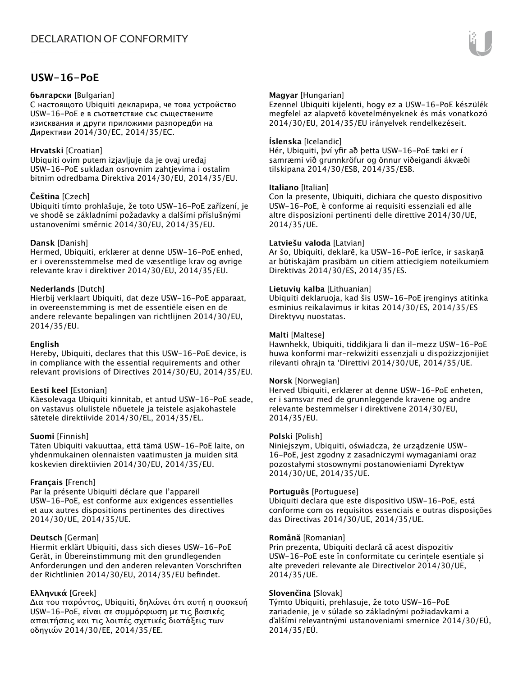### **USW-16-PoE**

#### **български** [Bulgarian]

С настоящото Ubiquiti декларира, че това устройство USW-16-PoE е в съответствие със съществените изисквания и други приложими разпоредби на Директиви 2014/30/ЕС, 2014/35/ЕС.

#### **Hrvatski** [Croatian]

Ubiquiti ovim putem izjavljuje da je ovaj uređaj USW-16-PoE sukladan osnovnim zahtjevima i ostalim bitnim odredbama Direktiva 2014/30/EU, 2014/35/EU.

#### **Čeština** [Czech]

Ubiquiti tímto prohlašuje, že toto USW-16-PoE zařízení, je ve shodě se základními požadavky a dalšími příslušnými ustanoveními směrnic 2014/30/EU, 2014/35/EU.

#### **Dansk** [Danish]

Hermed, Ubiquiti, erklærer at denne USW-16-PoE enhed, er i overensstemmelse med de væsentlige krav og øvrige relevante krav i direktiver 2014/30/EU, 2014/35/EU.

#### **Nederlands** [Dutch]

Hierbij verklaart Ubiquiti, dat deze USW-16-PoE apparaat, in overeenstemming is met de essentiële eisen en de andere relevante bepalingen van richtlijnen 2014/30/EU, 2014/35/EU.

#### **English**

Hereby, Ubiquiti, declares that this USW-16-PoE device, is in compliance with the essential requirements and other relevant provisions of Directives 2014/30/EU, 2014/35/EU.

#### **Eesti keel** [Estonian]

Käesolevaga Ubiquiti kinnitab, et antud USW-16-PoE seade, on vastavus olulistele nõuetele ja teistele asjakohastele sätetele direktiivide 2014/30/EL, 2014/35/EL.

#### **Suomi** [Finnish]

Täten Ubiquiti vakuuttaa, että tämä USW-16-PoE laite, on yhdenmukainen olennaisten vaatimusten ja muiden sitä koskevien direktiivien 2014/30/EU, 2014/35/EU.

#### **Français** [French]

Par la présente Ubiquiti déclare que l'appareil USW-16-PoE, est conforme aux exigences essentielles et aux autres dispositions pertinentes des directives 2014/30/UE, 2014/35/UE.

#### **Deutsch** [German]

Hiermit erklärt Ubiquiti, dass sich dieses USW-16-PoE Gerät, in Übereinstimmung mit den grundlegenden Anforderungen und den anderen relevanten Vorschriften der Richtlinien 2014/30/EU, 2014/35/EU befindet.

#### **Ελληνικά** [Greek]

Δια του παρόντος, Ubiquiti, δηλώνει ότι αυτή η συσκευή USW-16-PoE, είναι σε συμμόρφωση με τις βασικές απαιτήσεις και τις λοιπές σχετικές διατάξεις των οδηγιών 2014/30/EE, 2014/35/EE.

#### **Magyar** [Hungarian]

Ezennel Ubiquiti kijelenti, hogy ez a USW-16-PoE készülék megfelel az alapvető követelményeknek és más vonatkozó 2014/30/EU, 2014/35/EU irányelvek rendelkezéseit.

#### **Íslenska** [Icelandic]

Hér, Ubiquiti, því yfir að þetta USW-16-PoE tæki er í samræmi við grunnkröfur og önnur viðeigandi ákvæði tilskipana 2014/30/ESB, 2014/35/ESB.

#### **Italiano** [Italian]

Con la presente, Ubiquiti, dichiara che questo dispositivo USW-16-PoE, è conforme ai requisiti essenziali ed alle altre disposizioni pertinenti delle direttive 2014/30/UE, 2014/35/UE.

#### **Latviešu valoda** [Latvian]

Ar šo, Ubiquiti, deklarē, ka USW-16-PoE ierīce, ir saskaņā ar būtiskajām prasībām un citiem attiecīgiem noteikumiem Direktīvās 2014/30/ES, 2014/35/ES.

#### **Lietuvių kalba** [Lithuanian]

Ubiquiti deklaruoja, kad šis USW-16-PoE įrenginys atitinka esminius reikalavimus ir kitas 2014/30/ES, 2014/35/ES Direktyvų nuostatas.

#### **Malti** [Maltese]

Hawnhekk, Ubiquiti, tiddikjara li dan il-mezz USW-16-PoE huwa konformi mar-rekwiżiti essenzjali u dispożizzjonijiet rilevanti oħrajn ta 'Direttivi 2014/30/UE, 2014/35/UE.

#### **Norsk** [Norwegian]

Herved Ubiquiti, erklærer at denne USW-16-PoE enheten, er i samsvar med de grunnleggende kravene og andre relevante bestemmelser i direktivene 2014/30/EU, 2014/35/EU.

#### **Polski** [Polish]

Niniejszym, Ubiquiti, oświadcza, że urządzenie USW-16-PoE, jest zgodny z zasadniczymi wymaganiami oraz pozostałymi stosownymi postanowieniami Dyrektyw 2014/30/UE, 2014/35/UE.

#### **Português** [Portuguese]

Ubiquiti declara que este dispositivo USW-16-PoE, está conforme com os requisitos essenciais e outras disposições das Directivas 2014/30/UE, 2014/35/UE.

#### **Română** [Romanian]

Prin prezenta, Ubiquiti declară că acest dispozitiv USW-16-PoE este în conformitate cu cerințele esențiale și alte prevederi relevante ale Directivelor 2014/30/UE, 2014/35/UE.

#### **Slovenčina** [Slovak]

Týmto Ubiquiti, prehlasuje, že toto USW-16-PoE zariadenie, je v súlade so základnými požiadavkami a ďalšími relevantnými ustanoveniami smernice 2014/30/EÚ, 2014/35/EÚ.

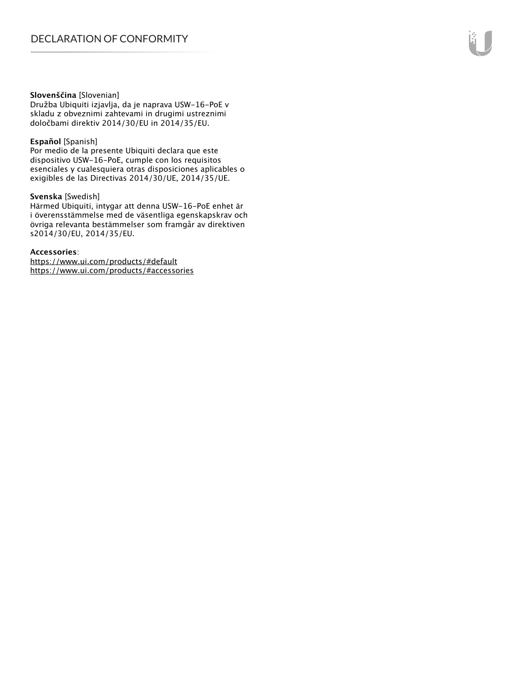#### **Slovenščina** [Slovenian]

Družba Ubiquiti izjavlja, da je naprava USW-16-PoE v skladu z obveznimi zahtevami in drugimi ustreznimi določbami direktiv 2014/30/EU in 2014/35/EU.

#### **Español** [Spanish]

Por medio de la presente Ubiquiti declara que este dispositivo USW-16-PoE, cumple con los requisitos esenciales y cualesquiera otras disposiciones aplicables o exigibles de las Directivas 2014/30/UE, 2014/35/UE.

#### **Svenska** [Swedish]

Härmed Ubiquiti, intygar att denna USW-16-PoE enhet är i överensstämmelse med de väsentliga egenskapskrav och övriga relevanta bestämmelser som framgår av direktiven s2014/30/EU, 2014/35/EU.

#### **Accessories**:

https://www.ui.com/products/#default https://www.ui.com/products/#accessories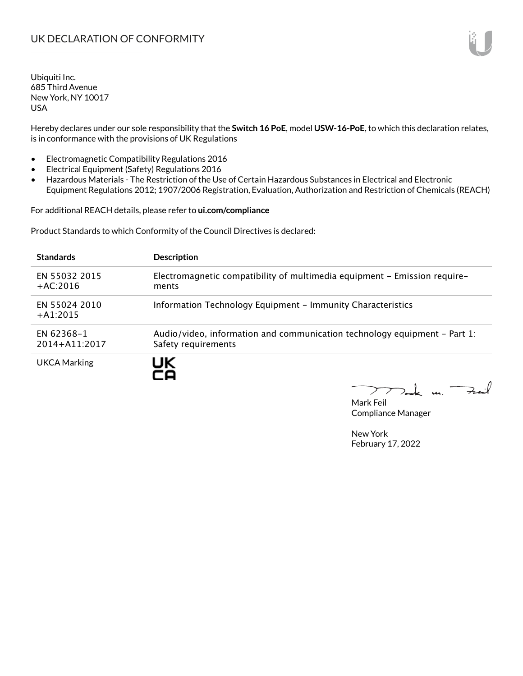Hereby declares under our sole responsibility that the **Switch 16 PoE**, model **USW-16-PoE**, to which this declaration relates, is in conformance with the provisions of UK Regulations

- Electromagnetic Compatibility Regulations 2016
- Electrical Equipment (Safety) Regulations 2016
- Hazardous Materials The Restriction of the Use of Certain Hazardous Substances in Electrical and Electronic Equipment Regulations 2012; 1907/2006 Registration, Evaluation, Authorization and Restriction of Chemicals (REACH)

For additional REACH details, please refer to **ui.com/compliance**

Product Standards to which Conformity of the Council Directives is declared:

| <b>Standards</b>                | <b>Description</b>                                                                               |
|---------------------------------|--------------------------------------------------------------------------------------------------|
| EN 55032 2015<br>$+AC:2016$     | Electromagnetic compatibility of multimedia equipment - Emission require-<br>ments               |
| EN 55024 2010<br>$+41:2015$     | Information Technology Equipment - Immunity Characteristics                                      |
| EN 62368-1<br>$2014 + A11:2017$ | Audio/video, information and communication technology equipment – Part 1:<br>Safety requirements |
| UKCA Marking                    |                                                                                                  |

Tak m. Fail  $\sum$ 

Mark Feil Compliance Manager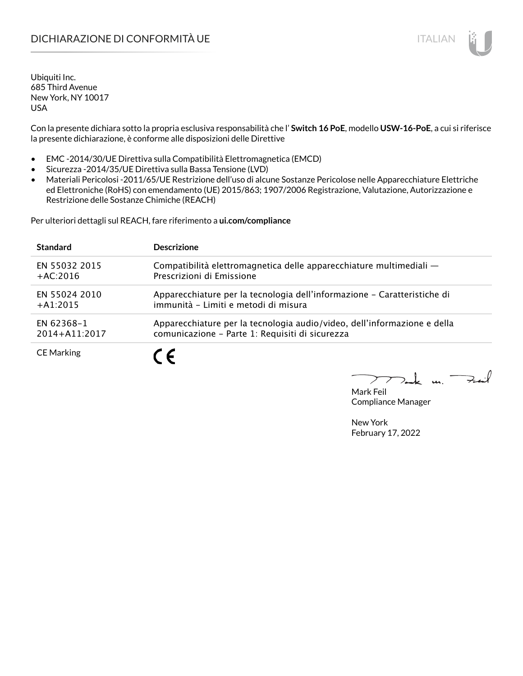## DICHIARAZIONE DI CONFORMITÀ UE ITALIAN ITALIAN

Ubiquiti Inc. 685 Third Avenue New York, NY 10017 USA

Con la presente dichiara sotto la propria esclusiva responsabilità che l' **Switch 16 PoE**, modello **USW-16-PoE**, a cui si riferisce la presente dichiarazione, è conforme alle disposizioni delle Direttive

- EMC -2014/30/UE Direttiva sulla Compatibilità Elettromagnetica (EMCD)
- Sicurezza -2014/35/UE Direttiva sulla Bassa Tensione (LVD)
- Materiali Pericolosi -2011/65/UE Restrizione dell'uso di alcune Sostanze Pericolose nelle Apparecchiature Elettriche ed Elettroniche (RoHS) con emendamento (UE) 2015/863; 1907/2006 Registrazione, Valutazione, Autorizzazione e Restrizione delle Sostanze Chimiche (REACH)

Per ulteriori dettagli sul REACH, fare riferimento a **ui.com/compliance**

| <b>Standard</b>   | <b>Descrizione</b>                                                       |
|-------------------|--------------------------------------------------------------------------|
| EN 55032 2015     | Compatibilità elettromagnetica delle apparecchiature multimediali -      |
| $+AC:2016$        | Prescrizioni di Emissione                                                |
| EN 55024 2010     | Apparecchiature per la tecnologia dell'informazione - Caratteristiche di |
| $+A1:2015$        | immunità - Limiti e metodi di misura                                     |
| EN 62368-1        | Apparecchiature per la tecnologia audio/video, dell'informazione e della |
| 2014+A11:2017     | comunicazione - Parte 1: Requisiti di sicurezza                          |
| <b>CE Marking</b> |                                                                          |

 $\Rightarrow$ iil  $\overline{u}$ 

Mark Feil Compliance Manager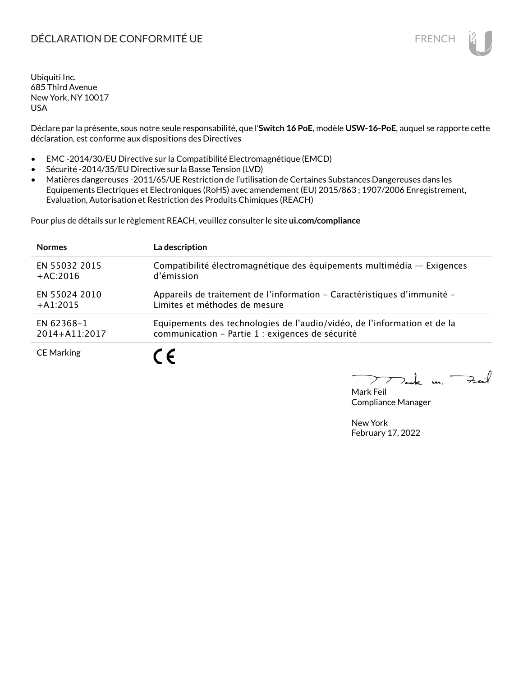## DÉCLARATION DE CONFORMITÉ UE EN ENCHANGEMENT DE CONFORMITÉ UNE ENCHANGEMENT DE CONFORMITÉ UNE ENCHANGEMENT DE

Ubiquiti Inc. 685 Third Avenue New York, NY 10017 USA

Déclare par la présente, sous notre seule responsabilité, que l'**Switch 16 PoE**, modèle **USW-16-PoE**, auquel se rapporte cette déclaration, est conforme aux dispositions des Directives

- EMC -2014/30/EU Directive sur la Compatibilité Electromagnétique (EMCD)
- Sécurité -2014/35/EU Directive sur la Basse Tension (LVD)
- Matières dangereuses -2011/65/UE Restriction de l'utilisation de Certaines Substances Dangereuses dans les Equipements Electriques et Electroniques (RoHS) avec amendement (EU) 2015/863 ; 1907/2006 Enregistrement, Evaluation, Autorisation et Restriction des Produits Chimiques (REACH)

Pour plus de détails sur le règlement REACH, veuillez consulter le site **ui.com/compliance**

| <b>Normes</b>     | La description                                                           |
|-------------------|--------------------------------------------------------------------------|
| EN 55032 2015     | Compatibilité électromagnétique des équipements multimédia — Exigences   |
| $+AC:2016$        | d'émission                                                               |
| EN 55024 2010     | Appareils de traitement de l'information - Caractéristiques d'immunité - |
| $+A1:2015$        | Limites et méthodes de mesure                                            |
| EN 62368-1        | Equipements des technologies de l'audio/vidéo, de l'information et de la |
| 2014+A11:2017     | communication - Partie 1 : exigences de sécurité                         |
| <b>CE Marking</b> |                                                                          |

لأبدحت  $\mathbf{u}$ 

Mark Feil Compliance Manager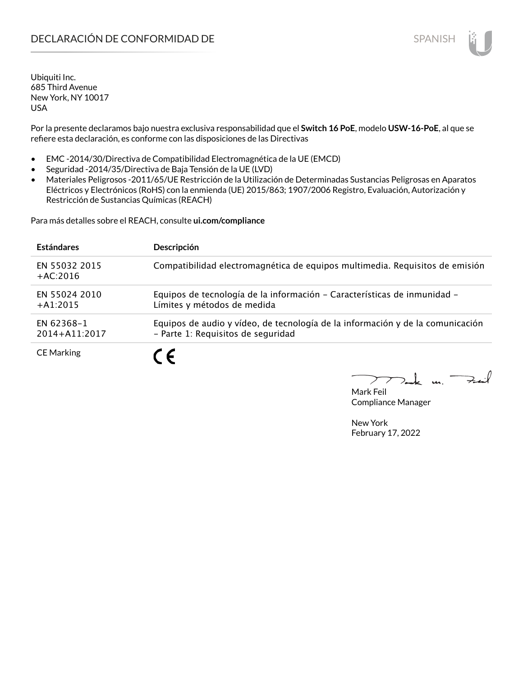Por la presente declaramos bajo nuestra exclusiva responsabilidad que el **Switch 16 PoE**, modelo **USW-16-PoE**, al que se refiere esta declaración, es conforme con las disposiciones de las Directivas

- EMC -2014/30/Directiva de Compatibilidad Electromagnética de la UE (EMCD)
- Seguridad -2014/35/Directiva de Baja Tensión de la UE (LVD)
- Materiales Peligrosos -2011/65/UE Restricción de la Utilización de Determinadas Sustancias Peligrosas en Aparatos Eléctricos y Electrónicos (RoHS) con la enmienda (UE) 2015/863; 1907/2006 Registro, Evaluación, Autorización y Restricción de Sustancias Químicas (REACH)

Para más detalles sobre el REACH, consulte **ui.com/compliance**

| <b>Estándares</b>           | <b>Descripción</b>                                                                                                   |
|-----------------------------|----------------------------------------------------------------------------------------------------------------------|
| EN 55032 2015<br>$+AC:2016$ | Compatibilidad electromagnética de equipos multimedia. Requisitos de emisión                                         |
| EN 55024 2010<br>$+A1:2015$ | Equipos de tecnología de la información - Características de inmunidad -<br>Límites y métodos de medida              |
| EN 62368-1<br>2014+A11:2017 | Equipos de audio y vídeo, de tecnología de la información y de la comunicación<br>- Parte 1: Requisitos de seguridad |
| <b>CE Marking</b>           | 7 C                                                                                                                  |

Mark Feil Compliance Manager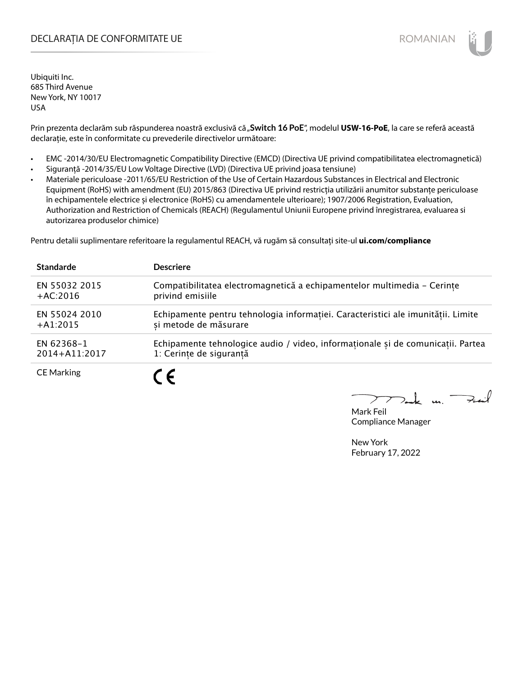### DECLARAȚIA DE CONFORMITATE UE EXTERNATION ANNO 1999 EN ANNO 1999 ROMANIAN

Ubiquiti Inc. 685 Third Avenue New York, NY 10017 USA

Prin prezenta declarăm sub răspunderea noastră exclusivă că "Switch 16 PoE", modelul USW-16-PoE, la care se referă această declarație, este în conformitate cu prevederile directivelor următoare:

- EMC -2014/30/EU Electromagnetic Compatibility Directive (EMCD) (Directiva UE privind compatibilitatea electromagnetică)
- Siguranță -2014/35/EU Low Voltage Directive (LVD) (Directiva UE privind joasa tensiune)
- Materiale periculoase -2011/65/EU Restriction of the Use of Certain Hazardous Substances in Electrical and Electronic Equipment (RoHS) with amendment (EU) 2015/863 (Directiva UE privind restricția utilizării anumitor substanțe periculoase în echipamentele electrice și electronice (RoHS) cu amendamentele ulterioare); 1907/2006 Registration, Evaluation, Authorization and Restriction of Chemicals (REACH) (Regulamentul Uniunii Europene privind înregistrarea, evaluarea si autorizarea produselor chimice)

Pentru detalii suplimentare referitoare la regulamentul REACH, vă rugăm să consultați site-ul **ui.com/compliance**

| <b>Standarde</b>  | <b>Descriere</b>                                                                 |
|-------------------|----------------------------------------------------------------------------------|
| EN 55032 2015     | Compatibilitatea electromagnetică a echipamentelor multimedia - Cerințe          |
| $+AC:2016$        | privind emisiile                                                                 |
| EN 55024 2010     | Echipamente pentru tehnologia informației. Caracteristici ale imunității. Limite |
| $+A1:2015$        | si metode de măsurare                                                            |
| EN 62368-1        | Echipamente tehnologice audio / video, informationale și de comunicatii. Partea  |
| 2014+A11:2017     | 1: Cerințe de siguranță                                                          |
| <b>CE Marking</b> | C F                                                                              |

 $m.$  Fail

Mark Feil Compliance Manager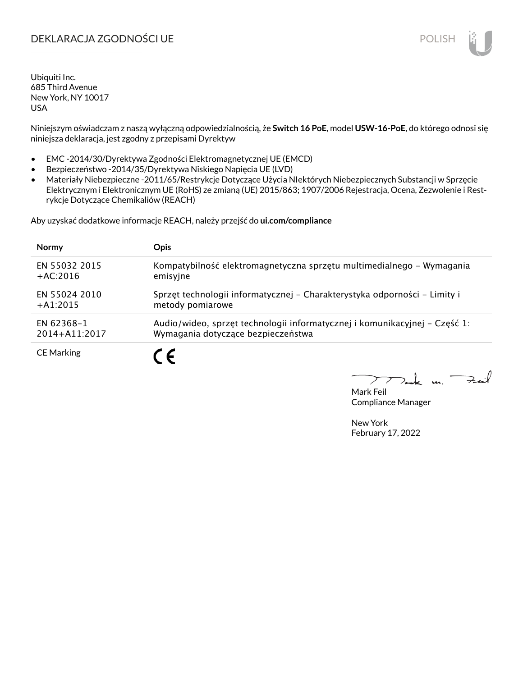## DEKLARACJA ZGODNOŚCI UE POLISH POLISH

Ubiquiti Inc. 685 Third Avenue New York, NY 10017 USA

Niniejszym oświadczam z naszą wyłączną odpowiedzialnością, że **Switch 16 PoE**, model **USW-16-PoE**, do którego odnosi się niniejsza deklaracja, jest zgodny z przepisami Dyrektyw

- EMC -2014/30/Dyrektywa Zgodności Elektromagnetycznej UE (EMCD)
- Bezpieczeństwo -2014/35/Dyrektywa Niskiego Napięcia UE (LVD)
- Materiały Niebezpieczne -2011/65/Restrykcje Dotyczące Użycia NIektórych Niebezpiecznych Substancji w Sprzęcie Elektrycznym i Elektronicznym UE (RoHS) ze zmianą (UE) 2015/863; 1907/2006 Rejestracja, Ocena, Zezwolenie i Restrykcje Dotyczące Chemikaliów (REACH)

Aby uzyskać dodatkowe informacje REACH, należy przejść do **ui.com/compliance**

| <b>Normy</b>      | <b>Opis</b>                                                                |
|-------------------|----------------------------------------------------------------------------|
| EN 55032 2015     | Kompatybilność elektromagnetyczna sprzętu multimedialnego – Wymagania      |
| $+AC:2016$        | emisyjne                                                                   |
| EN 55024 2010     | Sprzęt technologii informatycznej – Charakterystyka odporności – Limity i  |
| $+A1:2015$        | metody pomiarowe                                                           |
| EN 62368-1        | Audio/wideo, sprzęt technologii informatycznej i komunikacyjnej – Część 1: |
| $2014 + A11:2017$ | Wymagania dotyczące bezpieczeństwa                                         |
| <b>CE Marking</b> |                                                                            |

لأمدحة  $\mathbf{u}$ 

Mark Feil Compliance Manager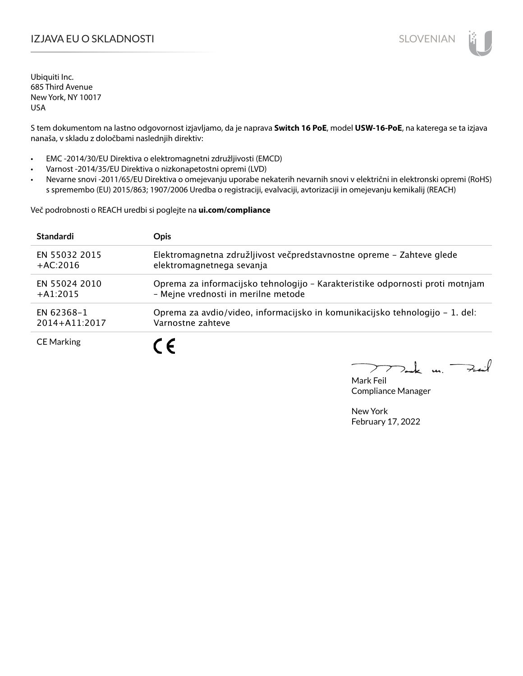## IZJAVA EU O SKLADNOSTI SLOVENIAN

Ubiquiti Inc. 685 Third Avenue New York, NY 10017 USA

S tem dokumentom na lastno odgovornost izjavljamo, da je naprava **Switch 16 PoE**, model **USW-16-PoE**, na katerega se ta izjava nanaša, v skladu z določbami naslednjih direktiv:

- EMC -2014/30/EU Direktiva o elektromagnetni združljivosti (EMCD)
- Varnost -2014/35/EU Direktiva o nizkonapetostni opremi (LVD)
- Nevarne snovi -2011/65/EU Direktiva o omejevanju uporabe nekaterih nevarnih snovi v električni in elektronski opremi (RoHS) s spremembo (EU) 2015/863; 1907/2006 Uredba o registraciji, evalvaciji, avtorizaciji in omejevanju kemikalij (REACH)

Več podrobnosti o REACH uredbi si poglejte na **ui.com/compliance**

| <b>Standardi</b>  | <b>Opis</b>                                                                   |
|-------------------|-------------------------------------------------------------------------------|
| EN 55032 2015     | Elektromagnetna združljivost večpredstavnostne opreme - Zahteve glede         |
| $+AC:2016$        | elektromagnetnega sevanja                                                     |
| EN 55024 2010     | Oprema za informacijsko tehnologijo - Karakteristike odpornosti proti motnjam |
| $+41:2015$        | - Mejne vrednosti in merilne metode                                           |
| EN 62368-1        | Oprema za avdio/video, informacijsko in komunikacijsko tehnologijo – 1. del:  |
| 2014+A11:2017     | Varnostne zahteve                                                             |
| <b>CE Marking</b> | $\epsilon$                                                                    |

 $k$  un  $\rightarrow$ 

Mark Feil Compliance Manager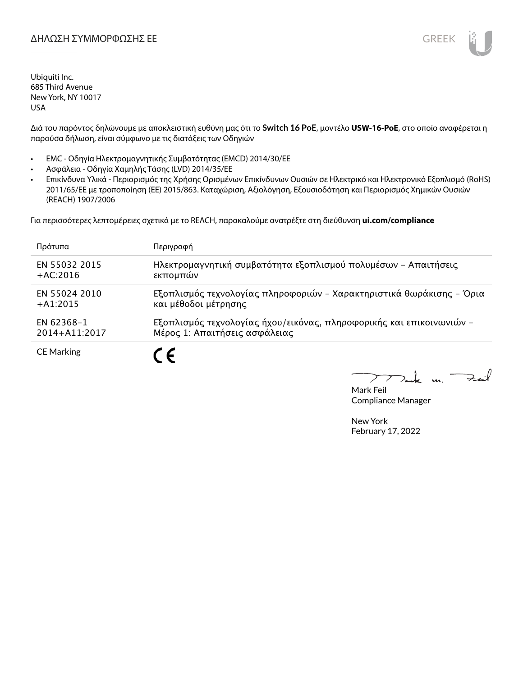

Διά του παρόντος δηλώνουμε με αποκλειστική ευθύνη μας ότι το **Switch 16 PoE**, μοντέλο **USW-16-PoE**, στο οποίο αναφέρεται η παρούσα δήλωση, είναι σύμφωνο με τις διατάξεις των Οδηγιών

- EMC Οδηγία Ηλεκτρομαγνητικής Συμβατότητας (EMCD) 2014/30/ΕΕ
- Ασφάλεια Οδηγία Χαμηλής Τάσης (LVD) 2014/35/ΕΕ
- Επικίνδυνα Υλικά Περιορισμός της Χρήσης Ορισμένων Επικίνδυνων Ουσιών σε Ηλεκτρικό και Ηλεκτρονικό Εξοπλισμό (RoHS) 2011/65/ΕΕ με τροποποίηση (ΕΕ) 2015/863. Καταχώριση, Αξιολόγηση, Εξουσιοδότηση και Περιορισμός Χημικών Ουσιών (REACH) 1907/2006

Για περισσότερες λεπτομέρειες σχετικά με το REACH, παρακαλούμε ανατρέξτε στη διεύθυνση **ui.com/compliance**

| Πρότυπα           | Περιγραφή                                                            |
|-------------------|----------------------------------------------------------------------|
| EN 55032 2015     | Ηλεκτρομαγνητική συμβατότητα εξοπλισμού πολυμέσων - Απαιτήσεις       |
| $+AC:2016$        | εκπομπών                                                             |
| EN 55024 2010     | Εξοπλισμός τεχνολογίας πληροφοριών - Χαρακτηριστικά θωράκισης - Όρια |
| $+A1:2015$        | και μέθοδοι μέτρησης                                                 |
| EN 62368-1        | Εξοπλισμός τεχνολογίας ήχου/εικόνας, πληροφορικής και επικοινωνιών - |
| 2014+A11:2017     | Μέρος 1: Απαιτήσεις ασφάλειας                                        |
| <b>CE Marking</b> |                                                                      |

 $\rightarrow$ t u  $\mathcal{I}$ 

Mark Feil Compliance Manager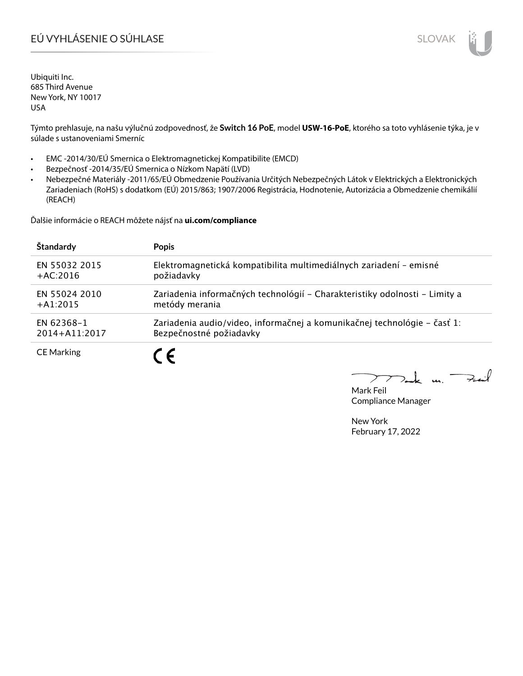# EÚ VYHLÁSENIE O SÚHLASE SLOVAK SLOVAK

Ubiquiti Inc. 685 Third Avenue New York, NY 10017 USA

Týmto prehlasuje, na našu výlučnú zodpovednosť, že **Switch 16 PoE**, model **USW-16-PoE**, ktorého sa toto vyhlásenie týka, je v súlade s ustanoveniami Smerníc

- EMC -2014/30/EÚ Smernica o Elektromagnetickej Kompatibilite (EMCD)
- Bezpečnosť -2014/35/EÚ Smernica o Nízkom Napätí (LVD)
- Nebezpečné Materiály -2011/65/EÚ Obmedzenie Používania Určitých Nebezpečných Látok v Elektrických a Elektronických Zariadeniach (RoHS) s dodatkom (EÚ) 2015/863; 1907/2006 Registrácia, Hodnotenie, Autorizácia a Obmedzenie chemikálií (REACH)

Ďalšie informácie o REACH môžete nájsť na **ui.com/compliance**

| Štandardy         | <b>Popis</b>                                                               |
|-------------------|----------------------------------------------------------------------------|
| EN 55032 2015     | Elektromagnetická kompatibilita multimediálnych zariadení - emisné         |
| $+AC:2016$        | požiadavky                                                                 |
| EN 55024 2010     | Zariadenia informačných technológií – Charakteristiky odolnosti – Limity a |
| $+A1:2015$        | metódy merania                                                             |
| EN 62368-1        | Zariadenia audio/video, informačnej a komunikačnej technológie – časť 1:   |
| 2014+A11:2017     | Bezpečnostné požiadavky                                                    |
| <b>CE Marking</b> |                                                                            |

Fail  $\mathbf{L}$  $\mathbf{u}$  $\geq$ 

Mark Feil Compliance Manager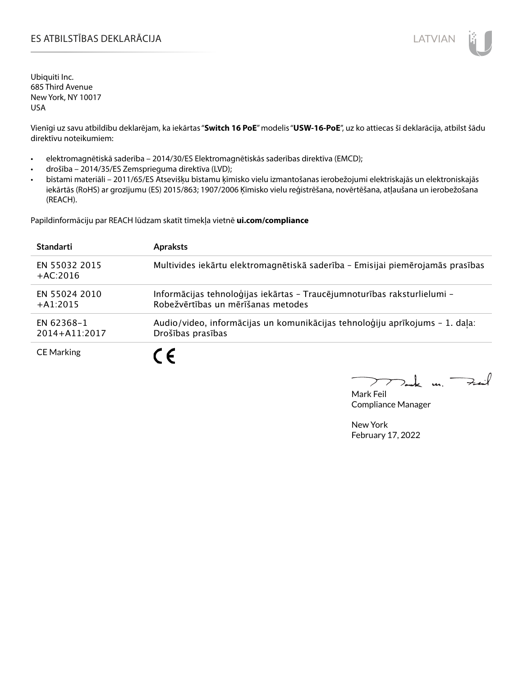### ES ATBILSTĪBAS DEKLARĀCIJA PARA ATRIEVIENA UN ATVIAN

Ubiquiti Inc. 685 Third Avenue New York, NY 10017 USA

Vienīgi uz savu atbildību deklarējam, ka iekārtas "**Switch 16 PoE**" modelis "**USW-16-PoE**", uz ko attiecas šī deklarācija, atbilst šādu direktīvu noteikumiem:

- elektromagnētiskā saderība 2014/30/ES Elektromagnētiskās saderības direktīva (EMCD);
- drošība 2014/35/ES Zemsprieguma direktīva (LVD);
- bīstami materiāli 2011/65/ES Atsevišķu bīstamu ķīmisko vielu izmantošanas ierobežojumi elektriskajās un elektroniskajās iekārtās (RoHS) ar grozījumu (ES) 2015/863; 1907/2006 Ķīmisko vielu reģistrēšana, novērtēšana, atļaušana un ierobežošana (REACH).

Papildinformāciju par REACH lūdzam skatīt tīmekļa vietnē **ui.com/compliance**

| <b>Standarti</b>            | <b>Apraksts</b>                                                                                                |
|-----------------------------|----------------------------------------------------------------------------------------------------------------|
| EN 55032 2015<br>$+AC:2016$ | Multivides iekārtu elektromagnētiskā saderība - Emisijai piemērojamās prasības                                 |
| EN 55024 2010<br>$+A1:2015$ | Informācijas tehnoloģijas iekārtas - Traucējumnoturības raksturlielumi -<br>Robežvērtības un mērīšanas metodes |
| EN 62368-1<br>2014+A11:2017 | Audio/video, informācijas un komunikācijas tehnoloģiju aprīkojums - 1. daļa:<br>Drošības prasības              |
| <b>CE Marking</b>           |                                                                                                                |

 $\mathbf{A}$ 

Mark Feil Compliance Manager